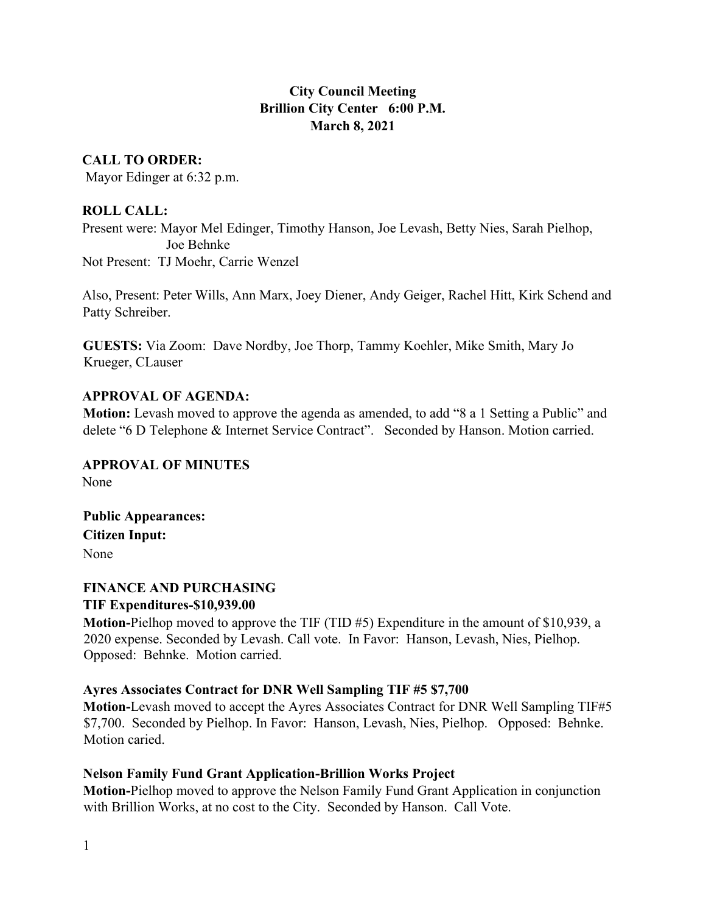# **City Council Meeting Brillion City Center 6:00 P.M. March 8, 2021**

## **CALL TO ORDER:**

Mayor Edinger at 6:32 p.m.

## **ROLL CALL:**

Present were: Mayor Mel Edinger, Timothy Hanson, Joe Levash, Betty Nies, Sarah Pielhop, Joe Behnke Not Present: TJ Moehr, Carrie Wenzel

Also, Present: Peter Wills, Ann Marx, Joey Diener, Andy Geiger, Rachel Hitt, Kirk Schend and Patty Schreiber.

**GUESTS:** Via Zoom: Dave Nordby, Joe Thorp, Tammy Koehler, Mike Smith, Mary Jo Krueger, CLauser

## **APPROVAL OF AGENDA:**

**Motion:** Levash moved to approve the agenda as amended, to add "8 a 1 Setting a Public" and delete "6 D Telephone & Internet Service Contract". Seconded by Hanson. Motion carried.

**APPROVAL OF MINUTES** None

**Public Appearances: Citizen Input:** None

### **FINANCE AND PURCHASING TIF Expenditures-\$10,939.00**

**Motion-**Pielhop moved to approve the TIF (TID #5) Expenditure in the amount of \$10,939, a 2020 expense. Seconded by Levash. Call vote. In Favor: Hanson, Levash, Nies, Pielhop. Opposed: Behnke. Motion carried.

## **Ayres Associates Contract for DNR Well Sampling TIF #5 \$7,700**

**Motion-**Levash moved to accept the Ayres Associates Contract for DNR Well Sampling TIF#5 \$7,700. Seconded by Pielhop. In Favor: Hanson, Levash, Nies, Pielhop. Opposed: Behnke. Motion caried.

## **Nelson Family Fund Grant Application-Brillion Works Project**

**Motion-**Pielhop moved to approve the Nelson Family Fund Grant Application in conjunction with Brillion Works, at no cost to the City. Seconded by Hanson. Call Vote.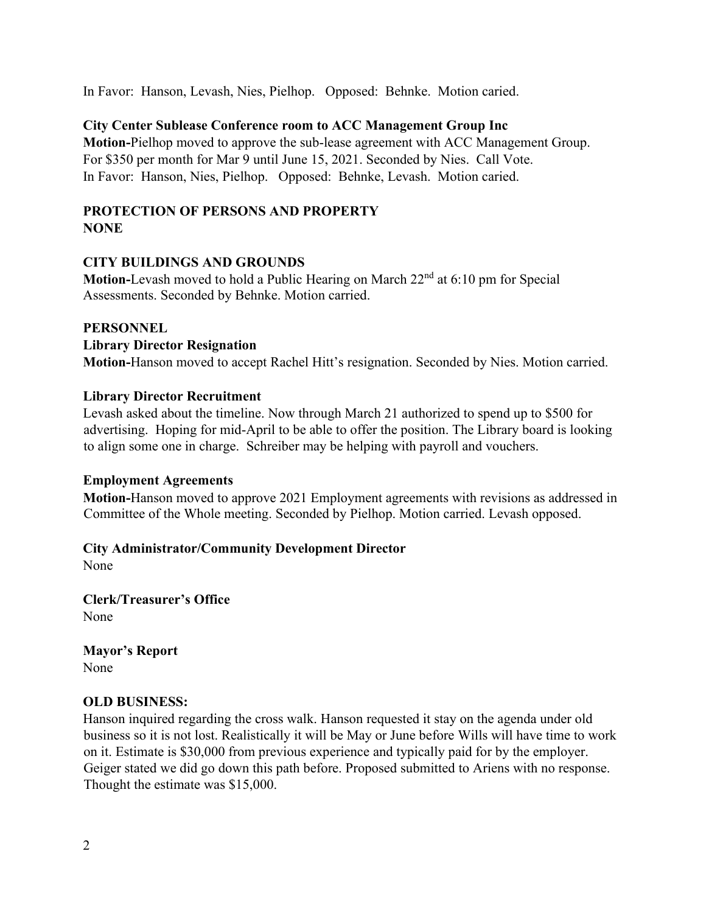In Favor: Hanson, Levash, Nies, Pielhop. Opposed: Behnke. Motion caried.

## **City Center Sublease Conference room to ACC Management Group Inc**

**Motion-**Pielhop moved to approve the sub-lease agreement with ACC Management Group. For \$350 per month for Mar 9 until June 15, 2021. Seconded by Nies. Call Vote. In Favor: Hanson, Nies, Pielhop. Opposed: Behnke, Levash. Motion caried.

#### **PROTECTION OF PERSONS AND PROPERTY NONE**

#### **CITY BUILDINGS AND GROUNDS**

**Motion-**Levash moved to hold a Public Hearing on March 22nd at 6:10 pm for Special Assessments. Seconded by Behnke. Motion carried.

#### **PERSONNEL**

#### **Library Director Resignation**

**Motion-**Hanson moved to accept Rachel Hitt's resignation. Seconded by Nies. Motion carried.

#### **Library Director Recruitment**

Levash asked about the timeline. Now through March 21 authorized to spend up to \$500 for advertising. Hoping for mid-April to be able to offer the position. The Library board is looking to align some one in charge. Schreiber may be helping with payroll and vouchers.

#### **Employment Agreements**

**Motion-**Hanson moved to approve 2021 Employment agreements with revisions as addressed in Committee of the Whole meeting. Seconded by Pielhop. Motion carried. Levash opposed.

## **City Administrator/Community Development Director**

None

**Clerk/Treasurer's Office** None

**Mayor's Report** None

## **OLD BUSINESS:**

Hanson inquired regarding the cross walk. Hanson requested it stay on the agenda under old business so it is not lost. Realistically it will be May or June before Wills will have time to work on it. Estimate is \$30,000 from previous experience and typically paid for by the employer. Geiger stated we did go down this path before. Proposed submitted to Ariens with no response. Thought the estimate was \$15,000.